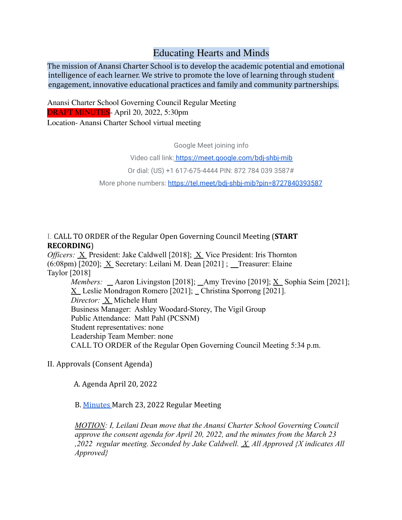# Educating Hearts and Minds

The mission of Anansi Charter School is to develop the academic potential and emotional intelligence of each learner. We strive to promote the love of learning through student engagement, innovative educational practices and family and community partnerships.

Anansi Charter School Governing Council Regular Meeting DRAFT MINUTES- April 20, 2022, 5:30pm Location- Anansi Charter School virtual meeting

Google Meet joining info

Video call link: https://meet.google.com/bdj-shbj-mib

Or dial: (US) +1 617-675-4444 PIN: 872 784 039 3587#

More phone numbers: https://tel.meet/bdj-shbj-mib?pin=8727840393587

I. CALL TO ORDER of the Regular Open Governing Council Meeting (**START RECORDING**)

*Officers:* X President: Jake Caldwell [2018]; X Vice President: Iris Thornton (6:08pm) [2020]; X Secretary: Leilani M. Dean [2021] ; \_ Treasurer: Elaine Taylor [2018] *Members:* \_ Aaron Livingston [2018]; \_ Amy Trevino [2019]; X\_Sophia Seim [2021]; X Leslie Mondragon Romero [2021]; Christina Sporrong [2021].

*Director:* X Michele Hunt Business Manager: Ashley Woodard-Storey, The Vigil Group Public Attendance: Matt Pahl (PCSNM) Student representatives: none Leadership Team Member: none CALL TO ORDER of the Regular Open Governing Council Meeting 5:34 p.m.

II. Approvals (Consent Agenda)

A. Agenda April 20, 2022

B. Minutes March 23, 2022 Regular Meeting

*MOTION: I, Leilani Dean move that the Anansi Charter School Governing Council approve the consent agenda for April 20, 2022, and the minutes from the March 23 ,2022 regular meeting. Seconded by Jake Caldwell. X All Approved {X indicates All Approved}*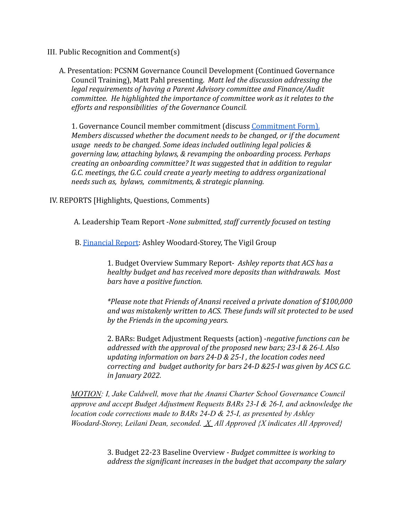- III. Public Recognition and Comment(s)
	- A. Presentation: PCSNM Governance Council Development (Continued Governance Council Training), Matt Pahl presenting. *Matt led the discussion addressing the legal requirements of having a Parent Advisory committee and Finance/Audit committee. He highlighted the importance of committee work as it relates to the efforts and responsibilities of the Governance Council.*

1. Governance Council member commitment (discuss Commitment Form). *Members discussed whether the document needs to be changed, or if the document usage needs to be changed. Some ideas included outlining legal policies & governing law, attaching bylaws, & revamping the onboarding process. Perhaps creating an onboarding committee? It was suggested that in addition to regular G.C. meetings, the G.C. could create a yearly meeting to address organizational needs such as, bylaws, commitments, & strategic planning.*

IV. REPORTS [Highlights, Questions, Comments)

A. Leadership Team Report -*None submitted, staff currently focused on testing*

B. Financial Report: Ashley Woodard-Storey, The Vigil Group

1. Budget Overview Summary Report- *Ashley reports that ACS has a healthy budget and has received more deposits than withdrawals. Most bars have a positive function.*

*\*Please note that Friends of Anansi received a private donation of \$100,000 and was mistakenly written to ACS. These funds will sit protected to be used by the Friends in the upcoming years.*

2. BARs: Budget Adjustment Requests (action) -*negative functions can be addressed with the approval of the proposed new bars; 23-I & 26-I. Also updating information on bars 24-D & 25-I , the location codes need correcting and budget authority for bars 24-D &25-I was given by ACS G.C. in January 2022.*

*MOTION: I, Jake Caldwell, move that the Anansi Charter School Governance Council approve and accept Budget Adjustment Requests BARs 23-I & 26-I, and acknowledge the location code corrections made to BARs 24-D & 25-I, as presented by Ashley Woodard-Storey, Leilani Dean, seconded. X All Approved {X indicates All Approved}*

> 3. Budget 22-23 Baseline Overview - *Budget committee is working to address the significant increases in the budget that accompany the salary*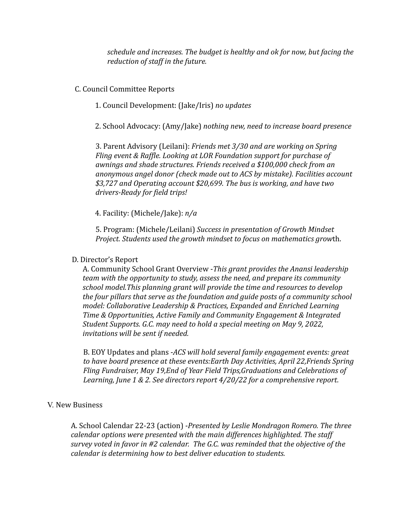*schedule and increases. The budget is healthy and ok for now, but facing the reduction of staff in the future.*

C. Council Committee Reports

1. Council Development: (Jake/Iris) *no updates*

2. School Advocacy: (Amy/Jake) *nothing new, need to increase board presence*

3. Parent Advisory (Leilani): *Friends met 3/30 and are working on Spring Fling event & Raffle. Looking at LOR Foundation support for purchase of awnings and shade structures. Friends received a \$100,000 check from an anonymous angel donor (check made out to ACS by mistake). Facilities account \$3,727 and Operating account \$20,699. The bus is working, and have two drivers-Ready for field trips!*

4. Facility: (Michele/Jake): *n/a*

5. Program: (Michele/Leilani) *Success in presentation of Growth Mindset Project. Students used the growth mindset to focus on mathematics grow*th.

## D. Director's Report

A. Community School Grant Overview -*This grant provides the Anansi leadership team with the opportunity to study, assess the need, and prepare its community school model.This planning grant will provide the time and resources to develop the four pillars that serve as the foundation and guide posts of a community school model: Collaborative Leadership & Practices, Expanded and Enriched Learning Time & Opportunities, Active Family and Community Engagement & Integrated Student Supports. G.C. may need to hold a special meeting on May 9, 2022, invitations will be sent if needed.*

B. EOY Updates and plans -*ACS will hold several family engagement events: great to have board presence at these events:Earth Day Activities, April 22,Friends Spring Fling Fundraiser, May 19,End of Year Field Trips,Graduations and Celebrations of Learning, June 1 & 2. See directors report 4/20/22 for a comprehensive report.*

### V. New Business

A. School Calendar 22-23 (action) -*Presented by Leslie Mondragon Romero. The three calendar options were presented with the main differences highlighted. The staff survey voted in favor in #2 calendar. The G.C. was reminded that the objective of the calendar is determining how to best deliver education to students.*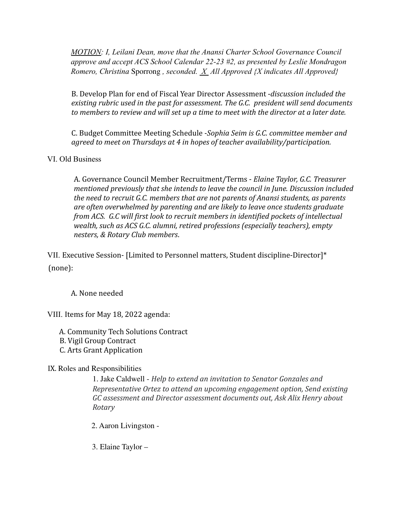*MOTION: I, Leilani Dean, move that the Anansi Charter School Governance Council approve and accept ACS School Calendar 22-23 #2, as presented by Leslie Mondragon Romero, Christina* Sporrong *, seconded. X All Approved {X indicates All Approved}*

B. Develop Plan for end of Fiscal Year Director Assessment -*discussion included the existing rubric used in the past for assessment. The G.C. president will send documents to members to review and will set up a time to meet with the director at a later date.*

C. Budget Committee Meeting Schedule -*Sophia Seim is G.C. committee member and agreed to meet on Thursdays at 4 in hopes of teacher availability/participation.*

VI. Old Business

A. Governance Council Member Recruitment/Terms - *Elaine Taylor, G.C. Treasurer mentioned previously that she intends to leave the council in June. Discussion included the need to recruit G.C. members that are not parents of Anansi students, as parents are often overwhelmed by parenting and are likely to leave once students graduate from ACS. G.C will first look to recruit members in identified pockets of intellectual wealth, such as ACS G.C. alumni, retired professions (especially teachers), empty nesters, & Rotary Club members*.

VII. Executive Session- [Limited to Personnel matters, Student discipline-Director]\* (none):

A. None needed

VIII. Items for May 18, 2022 agenda:

A. Community Tech Solutions Contract

- B. Vigil Group Contract
- C. Arts Grant Application

### IX. Roles and Responsibilities

1. Jake Caldwell - *Help to extend an invitation to Senator Gonzales and Representative Ortez to attend an upcoming engagement option, Send existing GC assessment and Director assessment documents out, Ask Alix Henry about Rotary*

2. Aaron Livingston -

3. Elaine Taylor –